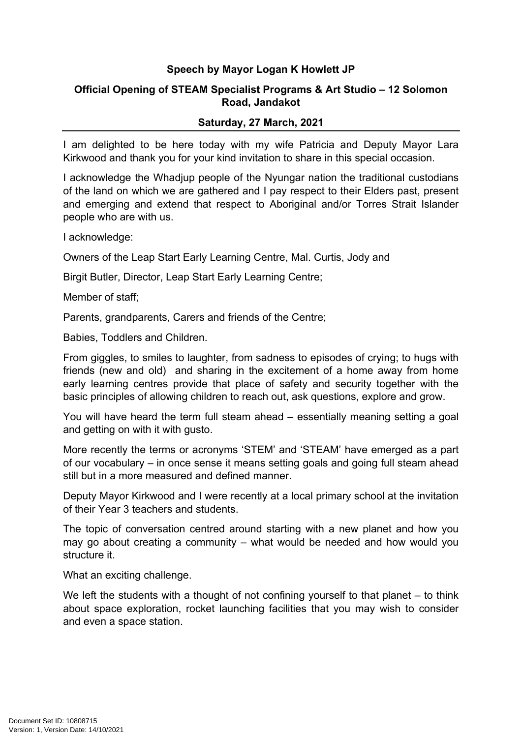## **Speech by Mayor Logan K Howlett JP**

## **Official Opening of STEAM Specialist Programs & Art Studio – 12 Solomon Road, Jandakot**

## **Saturday, 27 March, 2021**

I am delighted to be here today with my wife Patricia and Deputy Mayor Lara Kirkwood and thank you for your kind invitation to share in this special occasion.

I acknowledge the Whadjup people of the Nyungar nation the traditional custodians of the land on which we are gathered and I pay respect to their Elders past, present and emerging and extend that respect to Aboriginal and/or Torres Strait Islander people who are with us.

I acknowledge:

Owners of the Leap Start Early Learning Centre, Mal. Curtis, Jody and

Birgit Butler, Director, Leap Start Early Learning Centre;

Member of staff;

Parents, grandparents, Carers and friends of the Centre;

Babies, Toddlers and Children.

From giggles, to smiles to laughter, from sadness to episodes of crying; to hugs with friends (new and old) and sharing in the excitement of a home away from home early learning centres provide that place of safety and security together with the basic principles of allowing children to reach out, ask questions, explore and grow.

You will have heard the term full steam ahead – essentially meaning setting a goal and getting on with it with gusto.

More recently the terms or acronyms 'STEM' and 'STEAM' have emerged as a part of our vocabulary – in once sense it means setting goals and going full steam ahead still but in a more measured and defined manner.

Deputy Mayor Kirkwood and I were recently at a local primary school at the invitation of their Year 3 teachers and students.

The topic of conversation centred around starting with a new planet and how you may go about creating a community – what would be needed and how would you structure it.

What an exciting challenge.

We left the students with a thought of not confining yourself to that planet – to think about space exploration, rocket launching facilities that you may wish to consider and even a space station.